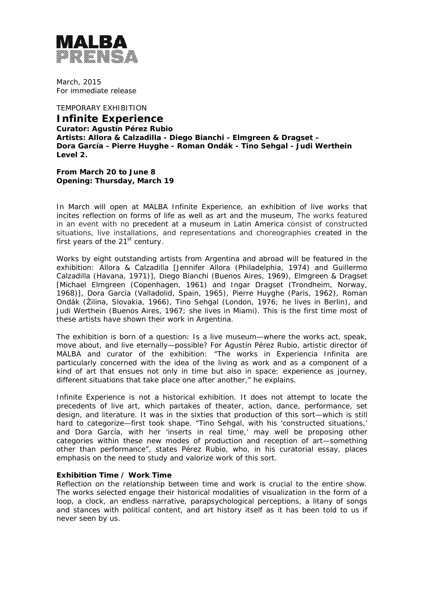

March, 2015 For immediate release

TEMPORARY EXHIBITION **Infinite Experience Curator: Agustín Pérez Rubio Artists: Allora & Calzadilla - Diego Bianchi - Elmgreen & Dragset – Dora García - Pierre Huyghe - Roman Ondák - Tino Sehgal - Judi Werthein Level 2.** 

**From March 20 to June 8 Opening: Thursday, March 19** 

In March will open at MALBA *Infinite Experience*, an exhibition of live works that incites reflection on forms of life as well as art and the museum, The works featured in an event with no precedent at a museum in Latin America consist of constructed situations, live installations, and representations and choreographies created in the first years of the  $21<sup>st</sup>$  century.

Works by eight outstanding artists from Argentina and abroad will be featured in the exhibition: Allora & Calzadilla [Jennifer Allora (Philadelphia, 1974) and Guillermo Calzadilla (Havana, 1971)], Diego Bianchi (Buenos Aires, 1969), Elmgreen & Dragset [Michael Elmgreen (Copenhagen, 1961) and Ingar Dragset (Trondheim, Norway, 1968)], Dora García (Valladolid, Spain, 1965), Pierre Huyghe (Paris, 1962), Roman Ondák (Žilina, Slovakia, 1966), Tino Sehgal (London, 1976; he lives in Berlin), and Judi Werthein (Buenos Aires, 1967; she lives in Miami). This is the first time most of these artists have shown their work in Argentina.

The exhibition is born of a question: Is a live museum—where the works act, speak, move about, and live eternally—possible? For Agustín Pérez Rubio, artistic director of MALBA and curator of the exhibition: "The works in Experiencia Infinita are particularly concerned with the idea of the living as work and as a component of a kind of art that ensues not only in time but also in space: experience as journey, different situations that take place one after another," he explains.

*Infinite Experience* is not a historical exhibition. It does not attempt to locate the precedents of live art, which partakes of theater, action, dance, performance, set design, and literature. It was in the sixties that production of this sort—which is still hard to categorize—first took shape*. "*Tino Sehgal, with his 'constructed situations,' and Dora García, with her 'inserts in real time,' may well be proposing other categories within these new modes of production and reception of art—something other than performance*",* states Pérez Rubio, who, in his curatorial essay, places emphasis on the need to study and valorize work of this sort.

#### **Exhibition Time / Work Time**

Reflection on the relationship between time and work is crucial to the entire show. The works selected engage their historical modalities of visualization in the form of a loop, a clock, an endless narrative, parapsychological perceptions, a litany of songs and stances with political content, and art history itself as it has been told to us if never seen by us.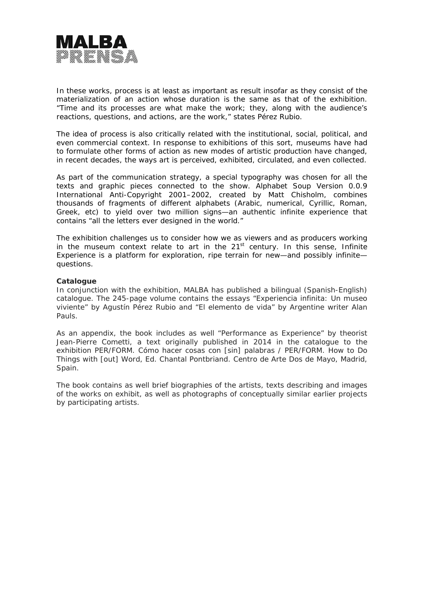

In these works, process is at least as important as result insofar as they consist of the materialization of an action whose duration is the same as that of the exhibition. "Time and its processes are what make the work; they, along with the audience's reactions, questions, and actions, are the work," states Pérez Rubio.

The idea of process is also critically related with the institutional, social, political, and even commercial context. In response to exhibitions of this sort, museums have had to formulate other forms of action as new modes of artistic production have changed, in recent decades, the ways art is perceived, exhibited, circulated, and even collected.

As part of the communication strategy, a special typography was chosen for all the texts and graphic pieces connected to the show. *Alphabet Soup Version 0.0.9 International Anti-Copyright 2001–2002*, created by Matt Chisholm, combines thousands of fragments of different alphabets (Arabic, numerical, Cyrillic, Roman, Greek, etc) to yield over two million signs—an authentic infinite experience that contains "all the letters ever designed in the world."

The exhibition challenges us to consider how we as viewers and as producers working in the museum context relate to art in the 21st century. In this sense, *Infinite Experience* is a platform for exploration, ripe terrain for new—and possibly infinite questions.

### **Catalogue**

In conjunction with the exhibition, MALBA has published a bilingual (Spanish-English) catalogue. The 245-page volume contains the essays "Experiencia infinita: Un museo viviente" by Agustín Pérez Rubio and "El elemento de vida" by Argentine writer Alan Pauls.

As an appendix, the book includes as well "Performance as Experience" by theorist Jean-Pierre Cometti, a text originally published in 2014 in the catalogue to the exhibition *PER/FORM. Cómo hacer cosas con [sin] palabras / PER/FORM. How to Do Things with [out] Word,* Ed. Chantal Pontbriand. Centro de Arte Dos de Mayo, Madrid, Spain.

The book contains as well brief biographies of the artists, texts describing and images of the works on exhibit, as well as photographs of conceptually similar earlier projects by participating artists.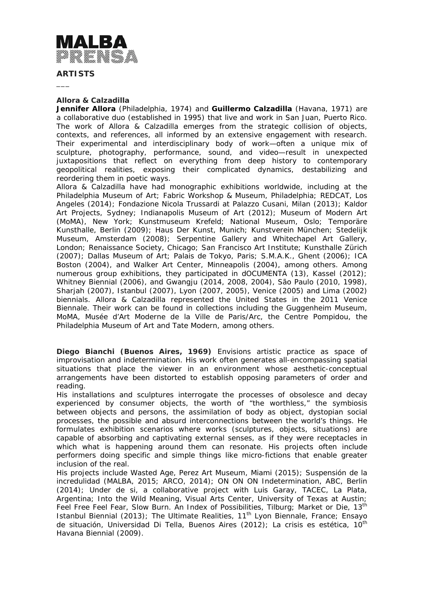

**ARTISTS** 

 $\overline{\phantom{a}}$ 

### **Allora & Calzadilla**

**Jennifer Allora** (Philadelphia, 1974) and **Guillermo Calzadilla** (Havana, 1971) are a collaborative duo (established in 1995) that live and work in San Juan, Puerto Rico. The work of Allora & Calzadilla emerges from the strategic collision of objects, contexts, and references, all informed by an extensive engagement with research. Their experimental and interdisciplinary body of work—often a unique mix of sculpture, photography, performance, sound, and video—result in unexpected juxtapositions that reflect on everything from deep history to contemporary geopolitical realities, exposing their complicated dynamics, destabilizing and reordering them in poetic ways.

Allora & Calzadilla have had monographic exhibitions worldwide, including at the Philadelphia Museum of Art; Fabric Workshop & Museum, Philadelphia; REDCAT, Los Angeles (2014); Fondazione Nicola Trussardi at Palazzo Cusani, Milan (2013); Kaldor Art Projects, Sydney; Indianapolis Museum of Art (2012); Museum of Modern Art (MoMA), New York; Kunstmuseum Krefeld; National Museum, Oslo; Temporäre Kunsthalle, Berlin (2009); Haus Der Kunst, Munich; Kunstverein München; Stedelijk Museum, Amsterdam (2008); Serpentine Gallery and Whitechapel Art Gallery, London; Renaissance Society, Chicago; San Francisco Art Institute; Kunsthalle Zürich (2007); Dallas Museum of Art; Palais de Tokyo, Paris; S.M.A.K., Ghent (2006); ICA Boston (2004), and Walker Art Center, Minneapolis (2004), among others. Among numerous group exhibitions, they participated in dOCUMENTA (13), Kassel (2012); Whitney Biennial (2006), and Gwangju (2014, 2008, 2004), São Paulo (2010, 1998), Sharjah (2007), Istanbul (2007), Lyon (2007, 2005), Venice (2005) and Lima (2002) biennials. Allora & Calzadilla represented the United States in the 2011 Venice Biennale. Their work can be found in collections including the Guggenheim Museum, MoMA, Musée d'Art Moderne de la Ville de Paris/Arc, the Centre Pompidou, the Philadelphia Museum of Art and Tate Modern, among others.

**Diego Bianchi (Buenos Aires, 1969)** Envisions artistic practice as space of improvisation and indetermination. His work often generates all-encompassing spatial situations that place the viewer in an environment whose aesthetic-conceptual arrangements have been distorted to establish opposing parameters of order and reading.

His installations and sculptures interrogate the processes of obsolesce and decay experienced by consumer objects, the worth of "the worthless," the symbiosis between objects and persons, the assimilation of body as object, dystopian social processes, the possible and absurd interconnections between the world's things. He formulates exhibition scenarios where works (sculptures, objects, situations) are capable of absorbing and captivating external senses, as if they were receptacles in which what is happening around them can resonate. His projects often include performers doing specific and simple things like micro-fictions that enable greater inclusion of the real.

His projects include *Wasted Age*, Perez Art Museum, Miami (2015); *Suspensión de la incredulidad* (MALBA, 2015; ARCO, 2014); *ON ON ON Indetermination*, ABC, Berlin (2014); *Under de si*, a collaborative project with Luis Garay, TACEC, La Plata, Argentina; *Into the Wild Meaning*, Visual Arts Center, University of Texas at Austin; *Feel Free Feel Fear*, *Slow Burn. An Index of Possibilities*, Tilburg; *Market or Die*, 13th Istanbul Biennial (2013); *The Ultimate Realities*, 11th Lyon Biennale, France; *Ensayo de situación*, Universidad Di Tella, Buenos Aires (2012); *La crisis es estética*, 10th Havana Biennial (2009).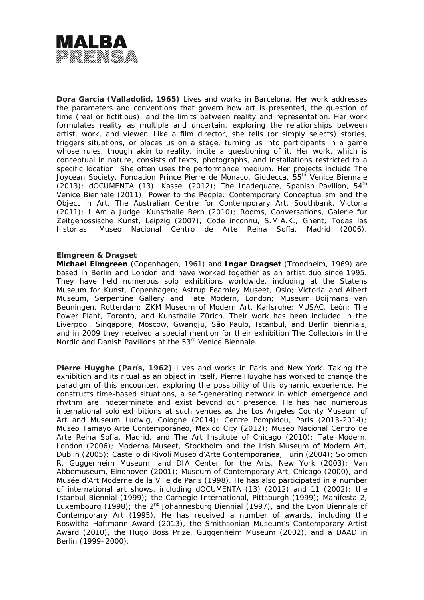

**Dora García (Valladolid, 1965)** Lives and works in Barcelona. Her work addresses the parameters and conventions that govern how art is presented, the question of time (real or fictitious), and the limits between reality and representation. Her work formulates reality as multiple and uncertain, exploring the relationships between artist, work, and viewer. Like a film director, she tells (or simply selects) stories, triggers situations, or places us on a stage, turning us into participants in a game whose rules, though akin to reality, incite a questioning of it. Her work, which is conceptual in nature, consists of texts, photographs, and installations restricted to a specific location. She often uses the performance medium. Her projects include *The Joycean Society*, Fondation Prince Pierre de Monaco, Giudecca, 55th Venice Biennale (2013); dOCUMENTA (13), Kassel (2012); *The Inadequate*, Spanish Pavilion, 54th Venice Biennale (2011); *Power to the People: Contemporary Conceptualism and the Object in Art*, The Australian Centre for Contemporary Art, Southbank, Victoria (2011); *I Am a Judge*, Kunsthalle Bern (2010); *Rooms, Conversations*, Galerie fur Zeitgenossische Kunst, Leipzig (2007); *Code inconnu*, S.M.A.K., Ghent; *Todas las historias*, Museo Nacional Centro de Arte Reina Sofía, Madrid (2006).

### **Elmgreen & Dragset**

**Michael Elmgreen** (Copenhagen, 1961) and **Ingar Dragset** (Trondheim, 1969) are based in Berlin and London and have worked together as an artist duo since 1995. They have held numerous solo exhibitions worldwide, including at the Statens Museum for Kunst, Copenhagen; Astrup Fearnley Museet, Oslo; Victoria and Albert Museum, Serpentine Gallery and Tate Modern, London; Museum Boijmans van Beuningen, Rotterdam; ZKM Museum of Modern Art, Karlsruhe; MUSAC, León; The Power Plant, Toronto, and Kunsthalle Zürich. Their work has been included in the Liverpool, Singapore, Moscow, Gwangju, São Paulo, Istanbul, and Berlin biennials, and in 2009 they received a special mention for their exhibition The Collectors in the Nordic and Danish Pavilions at the 53<sup>rd</sup> Venice Biennale.

**Pierre Huyghe (París, 1962)** Lives and works in Paris and New York. Taking the exhibition and its ritual as an object in itself, Pierre Huyghe has worked to change the paradigm of this encounter, exploring the possibility of this dynamic experience. He constructs time-based situations, a self-generating network in which emergence and rhythm are indeterminate and exist beyond our presence. He has had numerous international solo exhibitions at such venues as the Los Angeles County Museum of Art and Museum Ludwig, Cologne (2014); Centre Pompidou, Paris (2013-2014); Museo Tamayo Arte Contemporáneo, Mexico City (2012); Museo Nacional Centro de Arte Reina Sofía, Madrid, and The Art Institute of Chicago (2010); Tate Modern, London (2006); Moderna Museet, Stockholm and the Irish Museum of Modern Art, Dublin (2005); Castello di Rivoli Museo d'Arte Contemporanea, Turin (2004); Solomon R. Guggenheim Museum, and DIA Center for the Arts, New York (2003); Van Abbemuseum, Eindhoven (2001); Museum of Contemporary Art, Chicago (2000), and Musée d'Art Moderne de la Ville de Paris (1998). He has also participated in a number of international art shows, including dOCUMENTA (13) (2012) and 11 (2002); the Istanbul Biennial (1999); the Carnegie International, Pittsburgh (1999); Manifesta 2, Luxembourg (1998); the  $2^{nd}$  Johannesburg Biennial (1997), and the Lyon Biennale of Contemporary Art (1995). He has received a number of awards, including the Roswitha Haftmann Award (2013), the Smithsonian Museum's Contemporary Artist Award (2010), the Hugo Boss Prize, Guggenheim Museum (2002), and a DAAD in Berlin (1999–2000).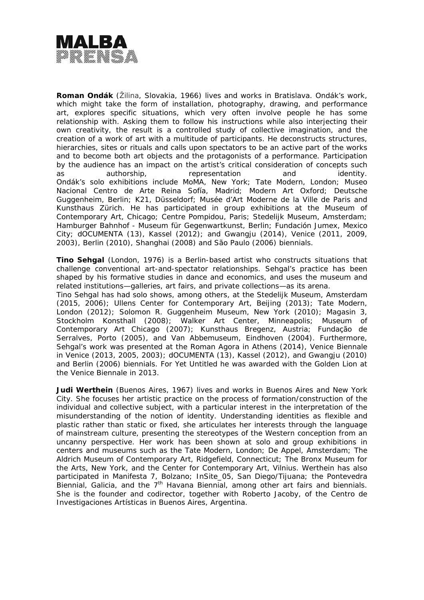

**Roman Ondák** (Žilina, Slovakia, 1966) lives and works in Bratislava. Ondák's work, which might take the form of installation, photography, drawing, and performance art, explores specific situations, which very often involve people he has some relationship with. Asking them to follow his instructions while also interjecting their own creativity, the result is a controlled study of collective imagination, and the creation of a work of art with a multitude of participants. He deconstructs structures, hierarchies, sites or rituals and calls upon spectators to be an active part of the works and to become both art objects and the protagonists of a performance. Participation by the audience has an impact on the artist's critical consideration of concepts such as authorship, and authorship, and identity. Ondák's solo exhibitions include MoMA, New York; Tate Modern, London; Museo Nacional Centro de Arte Reina Sofía, Madrid; Modern Art Oxford; Deutsche Guggenheim, Berlin; K21, Düsseldorf; Musée d'Art Moderne de la Ville de Paris and Kunsthaus Zürich. He has participated in group exhibitions at the Museum of Contemporary Art, Chicago; Centre Pompidou, Paris; Stedelijk Museum, Amsterdam; Hamburger Bahnhof - Museum für Gegenwartkunst, Berlin; Fundación Jumex, Mexico City; dOCUMENTA (13), Kassel (2012); and Gwangju (2014), Venice (2011, 2009, 2003), Berlin (2010), Shanghai (2008) and São Paulo (2006) biennials.

**Tino Sehgal** (London, 1976) is a Berlin-based artist who constructs situations that challenge conventional art-and-spectator relationships. Sehgal's practice has been shaped by his formative studies in dance and economics, and uses the museum and related institutions—galleries, art fairs, and private collections—as its arena.

Tino Sehgal has had solo shows, among others, at the Stedelijk Museum, Amsterdam (2015, 2006); Ullens Center for Contemporary Art, Beijing (2013); Tate Modern, London (2012); Solomon R. Guggenheim Museum, New York (2010); Magasin 3, Stockholm Konsthall (2008); Walker Art Center, Minneapolis; Museum of Contemporary Art Chicago (2007); Kunsthaus Bregenz, Austria; Fundação de Serralves, Porto (2005), and Van Abbemuseum, Eindhoven (2004). Furthermore, Sehgal's work was presented at the Roman Agora in Athens (2014), Venice Biennale in Venice (2013, 2005, 2003); dOCUMENTA (13), Kassel (2012), and Gwangju (2010) and Berlin (2006) biennials. For *Yet Untitled* he was awarded with the Golden Lion at the Venice Biennale in 2013.

**Judi Werthein** (Buenos Aires, 1967) lives and works in Buenos Aires and New York City. She focuses her artistic practice on the process of formation/construction of the individual and collective subject, with a particular interest in the interpretation of the misunderstanding of the notion of identity. Understanding identities as flexible and plastic rather than static or fixed, she articulates her interests through the language of mainstream culture, presenting the stereotypes of the Western conception from an uncanny perspective. Her work has been shown at solo and group exhibitions in centers and museums such as the Tate Modern, London; De Appel, Amsterdam; The Aldrich Museum of Contemporary Art, Ridgefield, Connecticut; The Bronx Museum for the Arts, New York, and the Center for Contemporary Art, Vilnius. Werthein has also participated in Manifesta 7, Bolzano; InSite\_05, San Diego/Tijuana; the Pontevedra Biennial, Galicia, and the 7<sup>th</sup> Havana Biennial, among other art fairs and biennials. She is the founder and codirector, together with Roberto Jacoby, of the Centro de Investigaciones Artísticas in Buenos Aires, Argentina.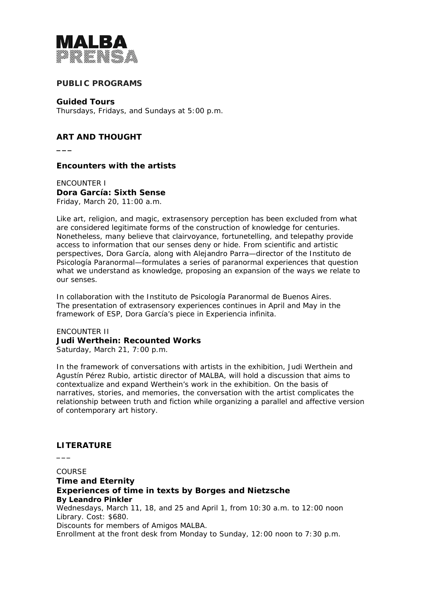

## **PUBLIC PROGRAMS**

**Guided Tours** Thursdays, Fridays, and Sundays at 5:00 p.m.

# **ART AND THOUGHT**

**\_\_\_** 

**Encounters with the artists** 

ENCOUNTER I **Dora García: Sixth Sense**  Friday, March 20, 11:00 a.m.

Like art, religion, and magic, extrasensory perception has been excluded from what are considered legitimate forms of the construction of knowledge for centuries. Nonetheless, many believe that clairvoyance, fortunetelling, and telepathy provide access to information that our senses deny or hide. From scientific and artistic perspectives, Dora García, along with Alejandro Parra—director of the Instituto de Psicología Paranormal—formulates a series of paranormal experiences that question what we understand as knowledge, proposing an expansion of the ways we relate to our senses.

*In collaboration with the Instituto de Psicología Paranormal de Buenos Aires. The presentation of extrasensory experiences continues in April and May in the framework of* ESP*, Dora García's piece in Experiencia infinita.*

ENCOUNTER II **Judi Werthein: Recounted Works**  Saturday, March 21, 7:00 p.m.

In the framework of conversations with artists in the exhibition, Judi Werthein and Agustín Pérez Rubio, artistic director of MALBA, will hold a discussion that aims to contextualize and expand Werthein's work in the exhibition. On the basis of narratives, stories, and memories, the conversation with the artist complicates the relationship between truth and fiction while organizing a parallel and affective version of contemporary art history.

## **LITERATURE**

**\_\_\_** 

**COURSE Time and Eternity Experiences of time in texts by Borges and Nietzsche By Leandro Pinkler**  Wednesdays, March 11, 18, and 25 and April 1, from 10:30 a.m. to 12:00 noon Library. Cost: \$680. Discounts for members of Amigos MALBA. Enrollment at the front desk from Monday to Sunday, 12:00 noon to 7:30 p.m.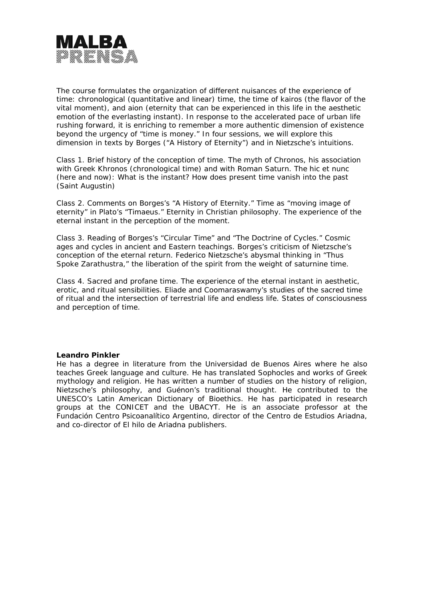

The course formulates the organization of different nuisances of the experience of time: chronological (quantitative and linear) time, the time of kairos (the flavor of the vital moment), and aion (eternity that can be experienced in this life in the aesthetic emotion of the everlasting instant). In response to the accelerated pace of urban life rushing forward, it is enriching to remember a more authentic dimension of existence beyond the urgency of "time is money." In four sessions, we will explore this dimension in texts by Borges ("A History of Eternity") and in Nietzsche's intuitions.

Class 1. Brief history of the conception of time. The myth of Chronos, his association with Greek Khronos (chronological time) and with Roman Saturn. The *hic et nunc* (here and now): What is the instant? How does present time vanish into the past (Saint Augustin)

Class 2. Comments on Borges's "A History of Eternity." Time as "moving image of eternity" in Plato's "Timaeus." Eternity in Christian philosophy. The experience of the eternal instant in the perception of the moment.

Class 3. Reading of Borges's "Circular Time" and "The Doctrine of Cycles." Cosmic ages and cycles in ancient and Eastern teachings. Borges's criticism of Nietzsche's conception of the eternal return. Federico Nietzsche's abysmal thinking in "Thus Spoke Zarathustra," the liberation of the spirit from the weight of saturnine time.

Class 4. Sacred and profane time. The experience of the eternal instant in aesthetic, erotic, and ritual sensibilities. Eliade and Coomaraswamy's studies of the sacred time of ritual and the intersection of terrestrial life and endless life. States of consciousness and perception of time.

#### **Leandro Pinkler**

He has a degree in literature from the Universidad de Buenos Aires where he also teaches Greek language and culture. He has translated Sophocles and works of Greek mythology and religion. He has written a number of studies on the history of religion, Nietzsche's philosophy, and Guénon's traditional thought. He contributed to the UNESCO's Latin American Dictionary of Bioethics. He has participated in research groups at the CONICET and the UBACYT. He is an associate professor at the Fundación Centro Psicoanalítico Argentino, director of the Centro de Estudios Ariadna, and co-director of El hilo de Ariadna publishers.